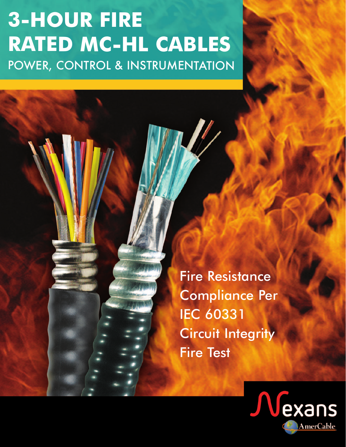## **3-HOUR FIRE RATED MC-HL CABLES**  POWER, CONTROL & INSTRUMENTATION

Fire Resistance<br>Compliance Per **IEC 60331 Circuit Integrity Fire Test** 

Fire Test